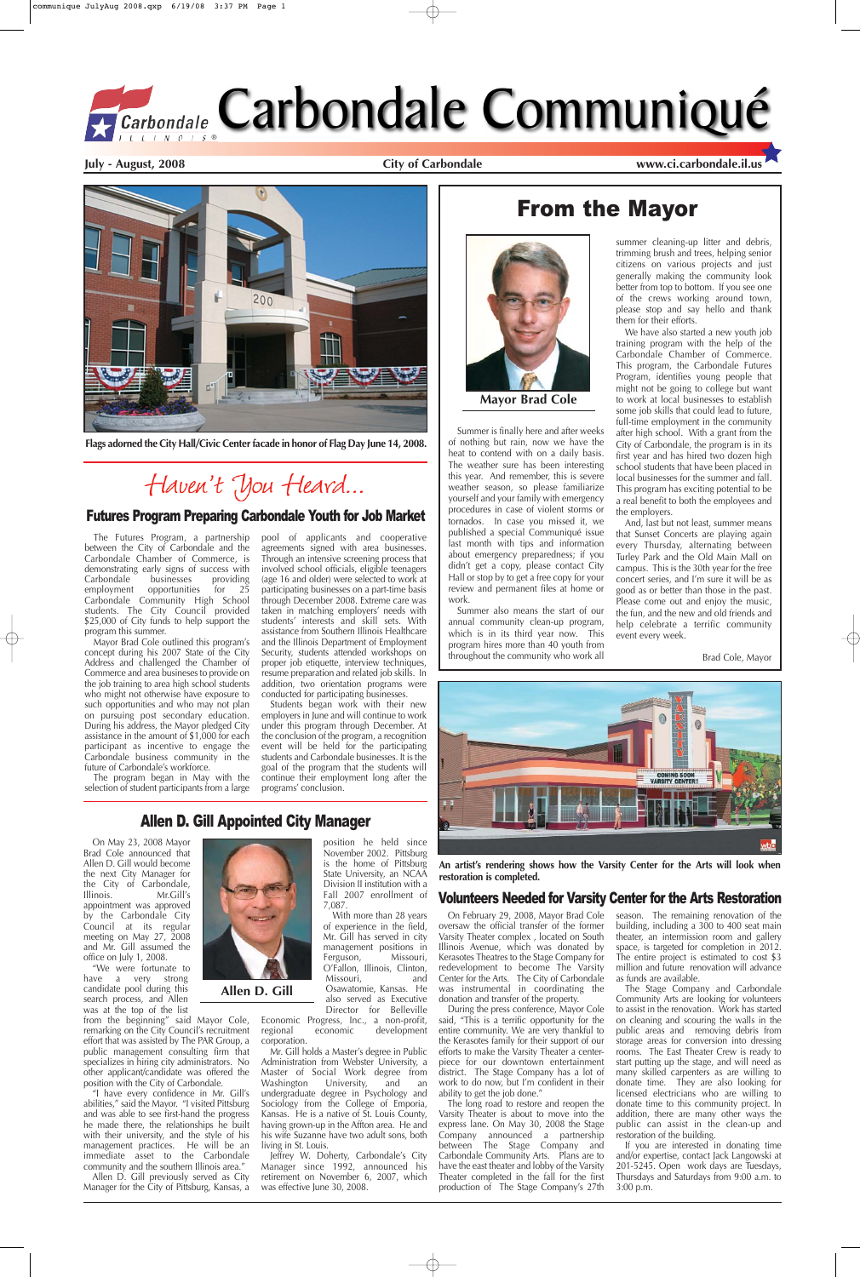On May 23, 2008 Mayor Brad Cole announced that Allen D. Gill would become the next City Manager for the City of Carbondale,



Illinois. Mr.Gill's appointment was approved by the Carbondale City Council at its regular meeting on May 27, 2008 and Mr. Gill assumed the office on July 1, 2008.

"We were fortunate to have a very strong candidate pool during this search process, and Allen was at the top of the list

from the beginning" said Mayor Cole, remarking on the City Council's recruitment effort that was assisted by The PAR Group, a public management consulting firm that specializes in hiring city administrators. No other applicant/candidate was offered the position with the City of Carbondale.

Allen D. Gill previously served as City Manager for the City of Pittsburg, Kansas, a Economic Progress, Inc., a non-profit,<br>regional economic development development corporation.

"I have every confidence in Mr. Gill's abilities," said the Mayor. "I visited Pittsburg and was able to see first-hand the progress he made there, the relationships he built with their university, and the style of his management practices. He will be an immediate asset to the Carbondale community and the southern Illinois area."

leffrey W. Doherty, Carbondale's City Manager since 1992, announced his retirement on November 6, 2007, which was effective June 30, 2008.

position he held since November 2002. Pittsburg is the home of Pittsburg State University, an NCAA Division II institution with a Fall 2007 enrollment of 7,087.

With more than 28 years of experience in the field, Mr. Gill has served in city management positions in<br>Ferguson. Missouri. Ferguson, O'Fallon, Illinois, Clinton, Missouri, and Osawatomie, Kansas. He also served as Executive Director for Belleville

Mr. Gill holds a Master's degree in Public Administration from Webster University, a Master of Social Work degree from Washington University, and an undergraduate degree in Psychology and Sociology from the College of Emporia, Kansas. He is a native of St. Louis County, having grown-up in the Affton area. He and his wife Suzanne have two adult sons, both living in St. Louis.

**July - August, 2008 City of Carbondale www.ci.carbondale.il.us**

## From the Mayor



During the press conference, Mayor Cole said, "This is a terrific opportunity for the entire community. We are very thankful to the Kerasotes family for their support of our efforts to make the Varsity Theater a centerpiece for our downtown entertainment district. The Stage Company has a lot of work to do now, but I'm confident in their ability to get the job done."

Summer is finally here and after weeks of nothing but rain, now we have the heat to contend with on a daily basis. The weather sure has been interesting this year. And remember, this is severe weather season, so please familiarize yourself and your family with emergency procedures in case of violent storms or tornados. In case you missed it, we published a special Communiqué issue last month with tips and information about emergency preparedness; if you didn't get a copy, please contact City Hall or stop by to get a free copy for your review and permanent files at home or work.

Summer also means the start of our annual community clean-up program, which is in its third year now. This program hires more than 40 youth from throughout the community who work all

summer cleaning-up litter and debris, trimming brush and trees, helping senior citizens on various projects and just generally making the community look better from top to bottom. If you see one of the crews working around town, please stop and say hello and thank them for their efforts.

We have also started a new youth job training program with the help of the Carbondale Chamber of Commerce. This program, the Carbondale Futures Program, identifies young people that might not be going to college but want to work at local businesses to establish some job skills that could lead to future, full-time employment in the community after high school. With a grant from the City of Carbondale, the program is in its first year and has hired two dozen high school students that have been placed in local businesses for the summer and fall. This program has exciting potential to be a real benefit to both the employees and the employers.

And, last but not least, summer means that Sunset Concerts are playing again every Thursday, alternating between Turley Park and the Old Main Mall on campus. This is the 30th year for the free concert series, and I'm sure it will be as good as or better than those in the past. Please come out and enjoy the music, the fun, and the new and old friends and help celebrate a terrific community event every week.

Brad Cole, Mayor



**Mayor Brad Cole**

### Allen D. Gill Appointed City Manager

### Volunteers Needed for Varsity Center for the Arts Restoration

On February 29, 2008, Mayor Brad Cole oversaw the official transfer of the former Varsity Theater complex , located on South Illinois Avenue, which was donated by Kerasotes Theatres to the Stage Company for redevelopment to become The Varsity Center for the Arts. The City of Carbondale was instrumental in coordinating the donation and transfer of the property.

The long road to restore and reopen the Varsity Theater is about to move into the express lane. On May 30, 2008 the Stage Company announced a partnership between The Stage Company and Carbondale Community Arts. Plans are to have the east theater and lobby of the Varsity Theater completed in the fall for the first production of The Stage Company's 27th season. The remaining renovation of the building, including a 300 to 400 seat main theater, an intermission room and gallery space, is targeted for completion in 2012. The entire project is estimated to cost \$3 million and future renovation will advance as funds are available.

The Stage Company and Carbondale Community Arts are looking for volunteers to assist in the renovation. Work has started on cleaning and scouring the walls in the public areas and removing debris from storage areas for conversion into dressing rooms. The East Theater Crew is ready to start putting up the stage, and will need as many skilled carpenters as are willing to donate time. They are also looking for licensed electricians who are willing to donate time to this community project. In addition, there are many other ways the public can assist in the clean-up and restoration of the building.

If you are interested in donating time and/or expertise, contact Jack Langowski at 201-5245. Open work days are Tuesdays, Thursdays and Saturdays from 9:00 a.m. to 3:00 p.m.



**An artist's rendering shows how the Varsity Center for the Arts will look when restoration is completed.** 

The Futures Program, a partnership between the City of Carbondale and the Carbondale Chamber of Commerce, is demonstrating early signs of success with<br>Carbondale businesses providing Carbondale employment opportunities for 25 Carbondale Community High School students. The City Council provided \$25,000 of City funds to help support the program this summer.

Mayor Brad Cole outlined this program's concept during his 2007 State of the City Address and challenged the Chamber of Commerce and area busineses to provide on the job training to area high school students who might not otherwise have exposure to such opportunities and who may not plan on pursuing post secondary education. During his address, the Mayor pledged City assistance in the amount of \$1,000 for each participant as incentive to engage the Carbondale business community in the future of Carbondale's workforce.

The program began in May with the selection of student participants from a large

pool of applicants and cooperative agreements signed with area businesses. Through an intensive screening process that involved school officials, eligible teenagers (age 16 and older) were selected to work at participating businesses on a part-time basis through December 2008. Extreme care was taken in matching employers' needs with students' interests and skill sets. With assistance from Southern Illinois Healthcare and the Illinois Department of Employment Security, students attended workshops on proper job etiquette, interview techniques, resume preparation and related job skills. In addition, two orientation programs were conducted for participating businesses.

Students began work with their new employers in June and will continue to work under this program through December. At the conclusion of the program, a recognition event will be held for the participating students and Carbondale businesses. It is the goal of the program that the students will continue their employment long after the programs' conclusion.

### Futures Program Preparing Carbondale Youth for Job Market



**Flags adorned the City Hall/Civic Center facade in honor of Flag Day June 14, 2008.**

# Haven't You Heard...

**Allen D. Gill**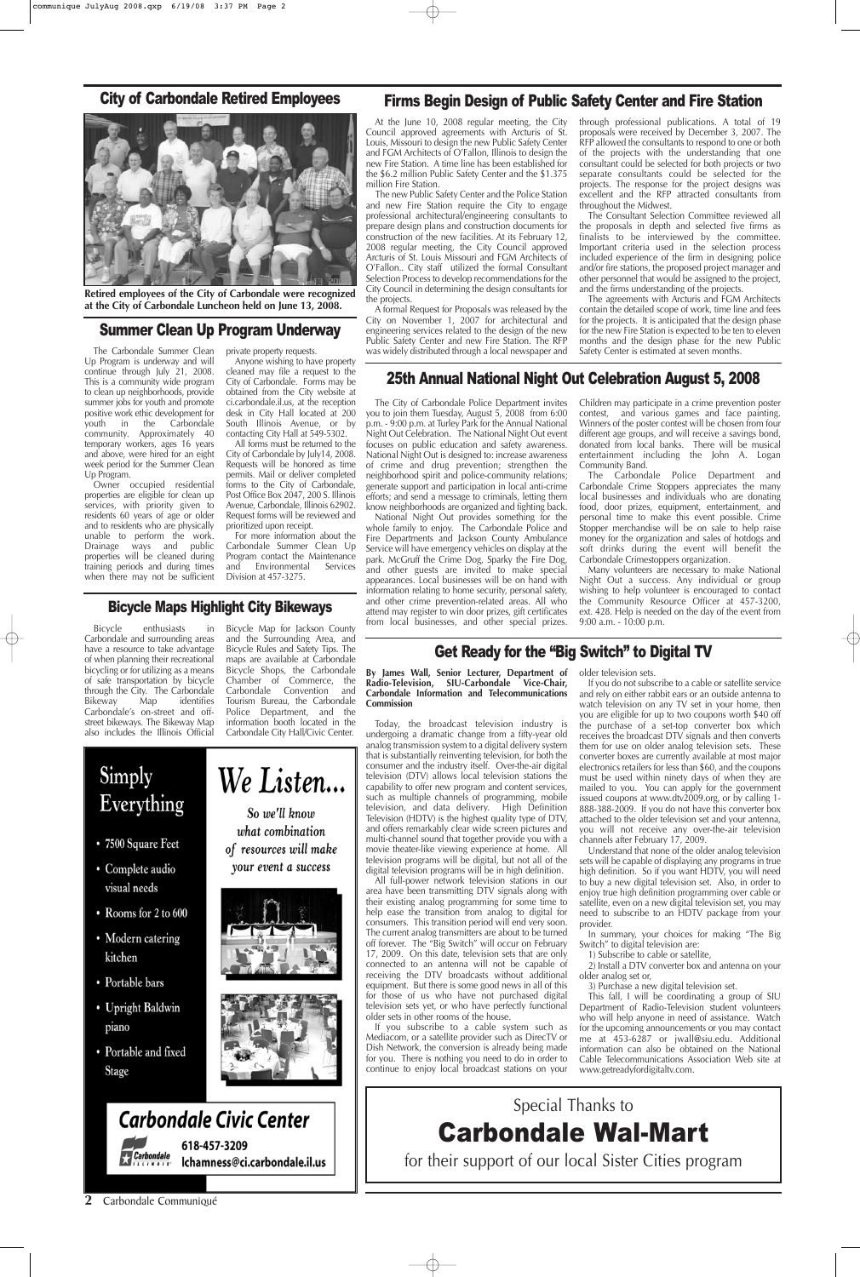**2** Carbondale Communiqué



**Retired employees of the City of Carbondale were recognized at the City of Carbondale Luncheon held on June 13, 2008.**

The Carbondale Summer Clean Up Program is underway and will continue through July 21, 2008. This is a community wide program to clean up neighborhoods, provide summer jobs for youth and promote positive work ethic development for<br>youth in the Carbondale youth in the Carbondale community. Approximately 40 temporary workers, ages 16 years and above, were hired for an eight week period for the Summer Clean Up Program.

Owner occupied residential properties are eligible for clean up services, with priority given to residents 60 years of age or older and to residents who are physically unable to perform the work. Drainage ways and public properties will be cleaned during training periods and during times when there may not be sufficient

private property requests.

Anyone wishing to have property cleaned may file a request to the City of Carbondale. Forms may be obtained from the City website at ci.carbondale.il.us, at the reception desk in City Hall located at 200 South Illinois Avenue, or by contacting City Hall at 549-5302.

All forms must be returned to the City of Carbondale by July14, 2008. Requests will be honored as time permits. Mail or deliver completed forms to the City of Carbondale, Post Office Box 2047, 200 S. Illinois Avenue, Carbondale, Illinois 62902. Request forms will be reviewed and prioritized upon receipt.

For more information about the Carbondale Summer Clean Up Program contact the Maintenance and Environmental Services Division at 457-3275.

### Summer Clean Up Program Underway

### Get Ready for the "Big Switch" to Digital TV

**By James Wall, Senior Lecturer, Department of Radio-Television, SIU-Carbondale Vice-Chair, Carbondale Information and Telecommunications Commission**

Today, the broadcast television industry is undergoing a dramatic change from a fifty-year old analog transmission system to a digital delivery system that is substantially reinventing television, for both the consumer and the industry itself. Over-the-air digital television (DTV) allows local television stations the capability to offer new program and content services, such as multiple channels of programming, mobile television, and data delivery. High Definition Television (HDTV) is the highest quality type of DTV, and offers remarkably clear wide screen pictures and multi-channel sound that together provide you with a movie theater-like viewing experience at home. All television programs will be digital, but not all of the digital television programs will be in high definition.

All full-power network television stations in our area have been transmitting DTV signals along with their existing analog programming for some time to help ease the transition from analog to digital for consumers. This transition period will end very soon. The current analog transmitters are about to be turned off forever. The "Big Switch" will occur on February 17, 2009. On this date, television sets that are only connected to an antenna will not be capable of receiving the DTV broadcasts without additional equipment. But there is some good news in all of this for those of us who have not purchased digital television sets yet, or who have perfectly functional older sets in other rooms of the house.

If you subscribe to a cable system such as Mediacom, or a satellite provider such as DirecTV or Dish Network, the conversion is already being made for you. There is nothing you need to do in order to continue to enjoy local broadcast stations on your

older television sets.

If you do not subscribe to a cable or satellite service and rely on either rabbit ears or an outside antenna to watch television on any TV set in your home, then you are eligible for up to two coupons worth \$40 off the purchase of a set-top converter box which receives the broadcast DTV signals and then converts them for use on older analog television sets. These converter boxes are currently available at most major electronics retailers for less than \$60, and the coupons must be used within ninety days of when they are mailed to you. You can apply for the government issued coupons at www.dtv2009.org, or by calling 1- 888-388-2009. If you do not have this converter box attached to the older television set and your antenna, you will not receive any over-the-air television channels after February 17, 2009.

Understand that none of the older analog television sets will be capable of displaying any programs in true high definition. So if you want HDTV, you will need to buy a new digital television set. Also, in order to enjoy true high definition programming over cable or satellite, even on a new digital television set, you may need to subscribe to an HDTV package from your provider.

- Rooms for 2 to 600
- Modern catering kitchen
- Portable bars
- Upright Baldwin piano
- Portable and fixed Stage





In summary, your choices for making "The Big Switch" to digital television are:

1) Subscribe to cable or satellite,

2) Install a DTV converter box and antenna on your older analog set or,

3) Purchase a new digital television set.

This fall, I will be coordinating a group of SIU Department of Radio-Television student volunteers who will help anyone in need of assistance. Watch for the upcoming announcements or you may contact me at 453-6287 or jwall@siu.edu. Additional information can also be obtained on the National Cable Telecommunications Association Web site at www.getreadyfordigitaltv.com.

# **Carbondale Civic Center**

618-457-3209 **Carbondale** Ichamness@ci.carbondale.il.us

### 25th Annual National Night Out Celebration August 5, 2008

The City of Carbondale Police Department invites you to join them Tuesday, August 5, 2008 from 6:00 p.m. - 9:00 p.m. at Turley Park for the Annual National Night Out Celebration. The National Night Out event focuses on public education and safety awareness. National Night Out is designed to: increase awareness of crime and drug prevention; strengthen the neighborhood spirit and police-community relations; generate support and participation in local anti-crime efforts; and send a message to criminals, letting them know neighborhoods are organized and fighting back.

National Night Out provides something for the whole family to enjoy. The Carbondale Police and Fire Departments and Jackson County Ambulance Service will have emergency vehicles on display at the park. McGruff the Crime Dog, Sparky the Fire Dog, and other guests are invited to make special appearances. Local businesses will be on hand with information relating to home security, personal safety, and other crime prevention-related areas. All who attend may register to win door prizes, gift certificates from local businesses, and other special prizes. Children may participate in a crime prevention poster contest, and various games and face painting. Winners of the poster contest will be chosen from four different age groups, and will receive a savings bond, donated from local banks. There will be musical entertainment including the John A. Logan Community Band.

The Carbondale Police Department and Carbondale Crime Stoppers appreciates the many local businesses and individuals who are donating food, door prizes, equipment, entertainment, and personal time to make this event possible. Crime Stopper merchandise will be on sale to help raise money for the organization and sales of hotdogs and soft drinks during the event will benefit the Carbondale Crimestoppers organization.

Many volunteers are necessary to make National Night Out a success. Any individual or group wishing to help volunteer is encouraged to contact the Community Resource Officer at 457-3200, ext. 428. Help is needed on the day of the event from 9:00 a.m. - 10:00 p.m.

### Firms Begin Design of Public Safety Center and Fire Station

At the June 10, 2008 regular meeting, the City Council approved agreements with Arcturis of St. Louis, Missouri to design the new Public Safety Center and FGM Architects of O'Fallon, Illinois to design the new Fire Station. A time line has been established for the \$6.2 million Public Safety Center and the \$1.375 million Fire Station.

The new Public Safety Center and the Police Station and new Fire Station require the City to engage professional architectural/engineering consultants to prepare design plans and construction documents for construction of the new facilities. At its February 12, 2008 regular meeting, the City Council approved Arcturis of St. Louis Missouri and FGM Architects of O'Fallon.. City staff utilized the formal Consultant Selection Process to develop recommendations for the City Council in determining the design consultants for the projects.

A formal Request for Proposals was released by the City on November 1, 2007 for architectural and engineering services related to the design of the new Public Safety Center and new Fire Station. The RFP was widely distributed through a local newspaper and through professional publications. A total of 19 proposals were received by December 3, 2007. The RFP allowed the consultants to respond to one or both of the projects with the understanding that one consultant could be selected for both projects or two separate consultants could be selected for the projects. The response for the project designs was excellent and the RFP attracted consultants from throughout the Midwest.

The Consultant Selection Committee reviewed all the proposals in depth and selected five firms as finalists to be interviewed by the committee. Important criteria used in the selection process included experience of the firm in designing police and/or fire stations, the proposed project manager and other personnel that would be assigned to the project, and the firms understanding of the projects.

The agreements with Arcturis and FGM Architects contain the detailed scope of work, time line and fees for the projects. It is anticipated that the design phase for the new Fire Station is expected to be ten to eleven months and the design phase for the new Public Safety Center is estimated at seven months.

## Special Thanks to

## Carbondale Wal-Mart

for their support of our local Sister Cities program

### City of Carbondale Retired Employees

Bicycle enthusiasts in Carbondale and surrounding areas have a resource to take advantage of when planning their recreational bicycling or for utilizing as a means of safe transportation by bicycle through the City. The Carbondale<br>Bikeway Map identifies identifies Carbondale's on-street and offstreet bikeways. The Bikeway Map also includes the Illinois Official

#### Bicycle Map for Jackson County and the Surrounding Area, and Bicycle Rules and Safety Tips. The

### Simply We Listen... Everything So we'll know what combination • 7500 Square Feet of resources will make • Complete audio your event a success visual needs

maps are available at Carbondale Bicycle Shops, the Carbondale Chamber of Commerce, the Carbondale Convention and Tourism Bureau, the Carbondale Police Department, and the information booth located in the Carbondale City Hall/Civic Center.

### Bicycle Maps Highlight City Bikeways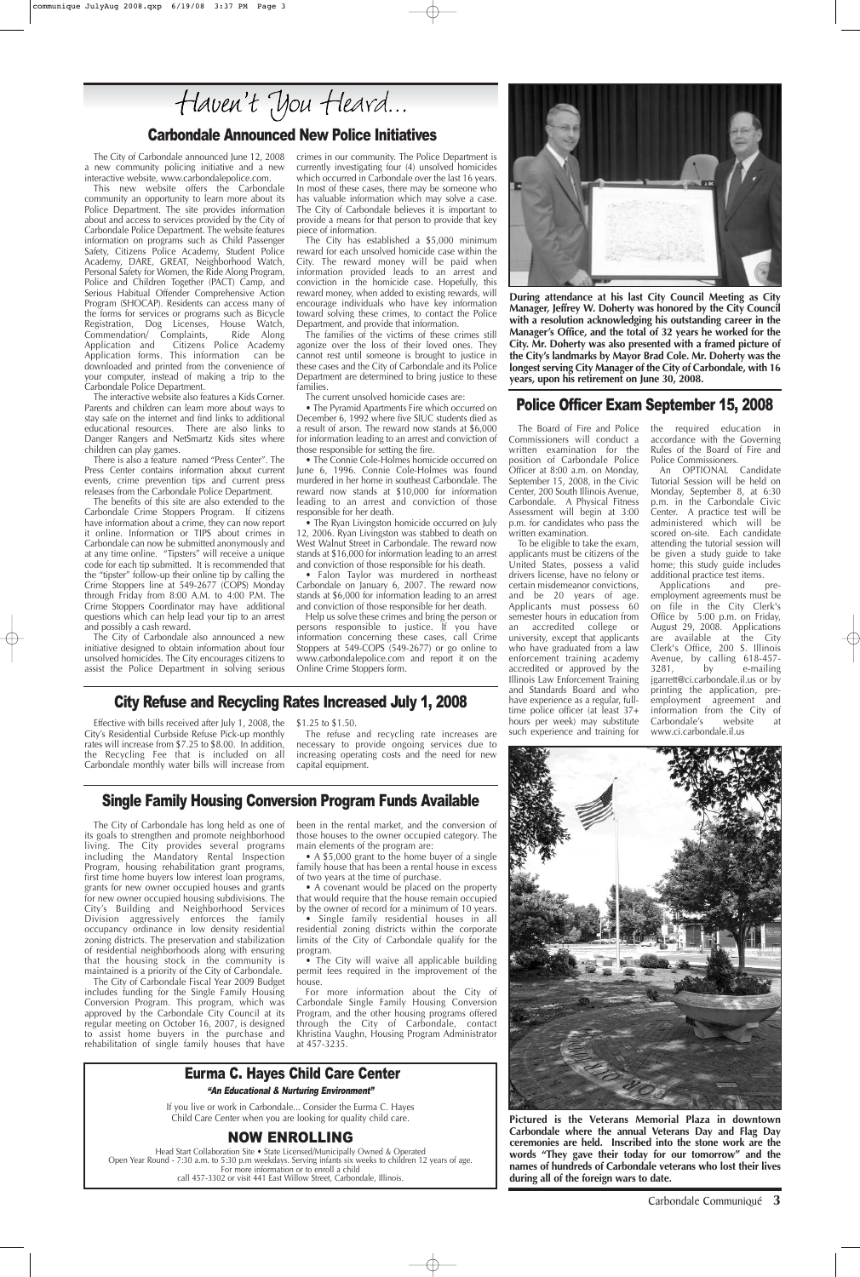Commissioners will conduct a written examination for the position of Carbondale Police Officer at 8:00 a.m. on Monday, September 15, 2008, in the Civic Center, 200 South Illinois Avenue, Carbondale. A Physical Fitness Assessment will begin at 3:00 p.m. for candidates who pass the written examination.

The Board of Fire and Police the required education in accordance with the Governing Rules of the Board of Fire and Police Commissioners.

To be eligible to take the exam, applicants must be citizens of the United States, possess a valid drivers license, have no felony or certain misdemeanor convictions, and be 20 years of age. Applicants must possess 60 semester hours in education from an accredited college or university, except that applicants who have graduated from a law enforcement training academy accredited or approved by the Illinois Law Enforcement Training and Standards Board and who have experience as a regular, fulltime police officer (at least 37+ hours per week) may substitute such experience and training for

additional practice test items.<br>Applications and Applications and preemployment agreements must be on file in the City Clerk's Office by 5:00 p.m. on Friday, August 29, 2008. Applications are available at the City Clerk's Office, 200 S. Illinois Avenue, by calling 618-457-<br>3281, by e-mailing e-mailing jgarrett@ci.carbondale.il.us or by printing the application, preemployment agreement and information from the City of Carbondale's website at www.ci.carbondale.il.us

An OPTIONAL Candidate Tutorial Session will be held on Monday, September 8, at 6:30 p.m. in the Carbondale Civic Center. A practice test will be administered which will be scored on-site. Each candidate attending the tutorial session will be given a study guide to take home; this study guide includes

• The City will waive all applicable building permit fees required in the improvement of the house.

### Single Family Housing Conversion Program Funds Available

The City of Carbondale has long held as one of its goals to strengthen and promote neighborhood living. The City provides several programs including the Mandatory Rental Inspection Program, housing rehabilitation grant programs, first time home buyers low interest loan programs, grants for new owner occupied houses and grants for new owner occupied housing subdivisions. The City's Building and Neighborhood Services Division aggressively enforces the family occupancy ordinance in low density residential zoning districts. The preservation and stabilization of residential neighborhoods along with ensuring that the housing stock in the community is maintained is a priority of the City of Carbondale. The City of Carbondale Fiscal Year 2009 Budget includes funding for the Single Family Housing Conversion Program. This program, which was approved by the Carbondale City Council at its regular meeting on October 16, 2007, is designed to assist home buyers in the purchase and rehabilitation of single family houses that have

been in the rental market, and the conversion of those houses to the owner occupied category. The main elements of the program are:

family house that has been a rental house in excess of two years at the time of purchase.

• A covenant would be placed on the property

• A \$5,000 grant to the home buver of a single



that would require that the house remain occupied by the owner of record for a minimum of 10 years.

• Single family residential houses in all residential zoning districts within the corporate limits of the City of Carbondale qualify for the program.

For more information about the City of Carbondale Single Family Housing Conversion Program, and the other housing programs offered through the City of Carbondale, contact Khristina Vaughn, Housing Program Administrator at 457-3235.

### Carbondale Announced New Police Initiatives

The City of Carbondale announced June 12, 2008 a new community policing initiative and a new interactive website, www.carbondalepolice.com.

> • The Ryan Livingston homicide occurred on July 12, 2006. Ryan Livingston was stabbed to death on West Walnut Street in Carbondale. The reward now stands at \$16,000 for information leading to an arrest and conviction of those responsible for his death.

This new website offers the Carbondale community an opportunity to learn more about its Police Department. The site provides information about and access to services provided by the City of Carbondale Police Department. The website features information on programs such as Child Passenger Safety, Citizens Police Academy, Student Police Academy, DARE, GREAT, Neighborhood Watch, Personal Safety for Women, the Ride Along Program, Police and Children Together (PACT) Camp, and Serious Habitual Offender Comprehensive Action Program (SHOCAP). Residents can access many of the forms for services or programs such as Bicycle Registration, Dog Licenses, House Watch,<br>Commendation/ Complaints, Ride Along Commendation/ Complaints,<br>Application and Citizens Citizens Police Academy Application forms. This information can be downloaded and printed from the convenience of your computer, instead of making a trip to the Carbondale Police Department.

The interactive website also features a Kids Corner. Parents and children can learn more about ways to stay safe on the internet and find links to additional educational resources. There are also links to Danger Rangers and NetSmartz Kids sites where children can play games.

There is also a feature named "Press Center". The Press Center contains information about current events, crime prevention tips and current press releases from the Carbondale Police Department.

The benefits of this site are also extended to the Carbondale Crime Stoppers Program. If citizens have information about a crime, they can now report it online. Information or TIPS about crimes in Carbondale can now be submitted anonymously and at any time online. "Tipsters" will receive a unique code for each tip submitted. It is recommended that the "tipster" follow-up their online tip by calling the Crime Stoppers line at 549-2677 (COPS) Monday through Friday from 8:00 A.M. to 4:00 P.M. The Crime Stoppers Coordinator may have additional questions which can help lead your tip to an arrest and possibly a cash reward.

The City of Carbondale also announced a new initiative designed to obtain information about four unsolved homicides. The City encourages citizens to assist the Police Department in solving serious crimes in our community. The Police Department is currently investigating four (4) unsolved homicides which occurred in Carbondale over the last 16 years. In most of these cases, there may be someone who has valuable information which may solve a case. The City of Carbondale believes it is important to provide a means for that person to provide that key piece of information.

The City has established a \$5,000 minimum reward for each unsolved homicide case within the City. The reward money will be paid when information provided leads to an arrest and conviction in the homicide case. Hopefully, this reward money, when added to existing rewards, will encourage individuals who have key information toward solving these crimes, to contact the Police Department, and provide that information.

The families of the victims of these crimes still agonize over the loss of their loved ones. They cannot rest until someone is brought to justice in these cases and the City of Carbondale and its Police Department are determined to bring justice to these families.

The current unsolved homicide cases are:

• The Pyramid Apartments Fire which occurred on December 6, 1992 where five SIUC students died as a result of arson. The reward now stands at \$6,000 for information leading to an arrest and conviction of those responsible for setting the fire.

• The Connie Cole-Holmes homicide occurred on June 6, 1996. Connie Cole-Holmes was found murdered in her home in southeast Carbondale. The reward now stands at \$10,000 for information leading to an arrest and conviction of those responsible for her death.

• Falon Taylor was murdered in northeast Carbondale on January 6, 2007. The reward now stands at \$6,000 for information leading to an arrest and conviction of those responsible for her death.

Help us solve these crimes and bring the person or persons responsible to justice. If you have information concerning these cases, call Crime Stoppers at 549-COPS (549-2677) or go online to www.carbondalepolice.com and report it on the Online Crime Stoppers form.



**During attendance at his last City Council Meeting as City Manager, Jeffrey W. Doherty was honored by the City Council with a resolution acknowledging his outstanding career in the Manager's Office, and the total of 32 years he worked for the City. Mr. Doherty was also presented with a framed picture of the City's landmarks by Mayor Brad Cole. Mr. Doherty was the longest serving City Manager of the City of Carbondale, with 16 years, upon his retirement on June 30, 2008.**

**Pictured is the Veterans Memorial Plaza in downtown Carbondale where the annual Veterans Day and Flag Day ceremonies are held. Inscribed into the stone work are the words "They gave their today for our tomorrow" and the names of hundreds of Carbondale veterans who lost their lives during all of the foreign wars to date.** 

### Police Officer Exam September 15, 2008

## Eurma C. Hayes Child Care Center

If you live or work in Carbondale... Consider the Eurma C. Hayes Child Care Center when you are looking for quality child care.

### NOW ENROLLING

Head Start Collaboration Site • State Licensed/Municipally Owned & Operated Open Year Round - 7:30 a.m. to 5:30 p.m weekdays. Serving infants six weeks to children 12 years of age. For more information or to enroll a child call 457-3302 or visit 441 East Willow Street, Carbondale, Illinois.

#### "An Educational & Nurturing Environment"

Carbondale Communiqué **3**



Effective with bills received after July 1, 2008, the City's Residential Curbside Refuse Pick-up monthly rates will increase from \$7.25 to \$8.00. In addition, the Recycling Fee that is included on all Carbondale monthly water bills will increase from

#### \$1.25 to \$1.50.

The refuse and recycling rate increases are necessary to provide ongoing services due to increasing operating costs and the need for new capital equipment.

# Haven't You Heard...